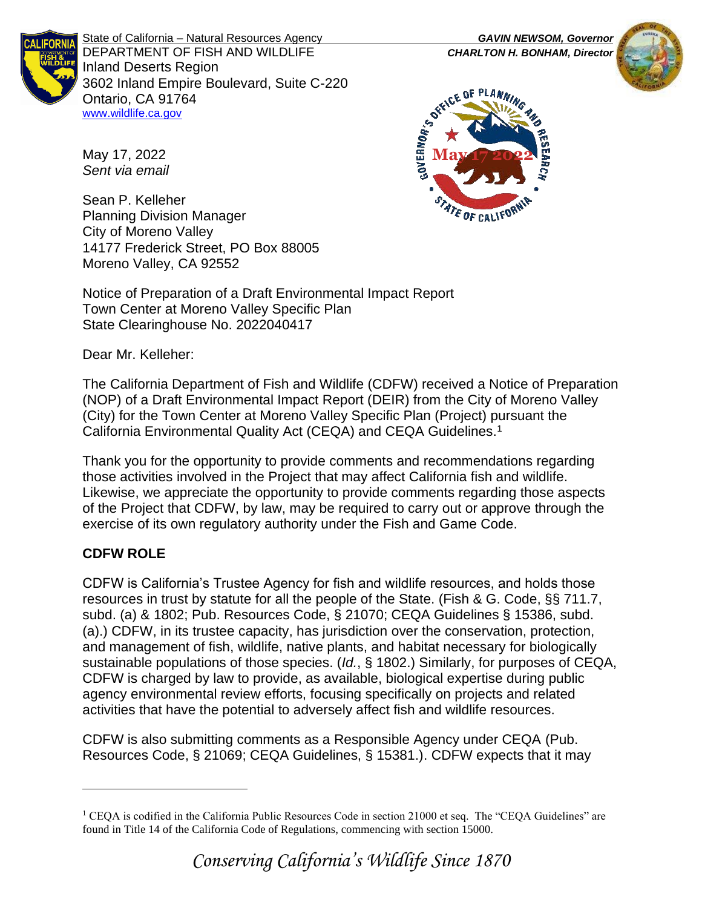

State of California – Natural Resources Agency *GAVIN NEWSOM, Governor* DEPARTMENT OF FISH AND WILDLIFE *CHARLTON H. BONHAM, Director*  Inland Deserts Region 3602 Inland Empire Boulevard, Suite C-220 Ontario, CA 91764 [www.wildlife.ca.gov](http://www.wildlife.ca.gov/)

**GOVERNOR'S ORKITCR** 

E OF CALIFO



May 17, 2022 *Sent via email*

Sean P. Kelleher Planning Division Manager City of Moreno Valley 14177 Frederick Street, PO Box 88005 Moreno Valley, CA 92552

Notice of Preparation of a Draft Environmental Impact Report Town Center at Moreno Valley Specific Plan State Clearinghouse No. 2022040417

Dear Mr. Kelleher:

The California Department of Fish and Wildlife (CDFW) received a Notice of Preparation (NOP) of a Draft Environmental Impact Report (DEIR) from the City of Moreno Valley (City) for the Town Center at Moreno Valley Specific Plan (Project) pursuant the California Environmental Quality Act (CEQA) and CEQA Guidelines.<sup>1</sup>

Thank you for the opportunity to provide comments and recommendations regarding those activities involved in the Project that may affect California fish and wildlife. Likewise, we appreciate the opportunity to provide comments regarding those aspects of the Project that CDFW, by law, may be required to carry out or approve through the exercise of its own regulatory authority under the Fish and Game Code.

# **CDFW ROLE**

CDFW is California's Trustee Agency for fish and wildlife resources, and holds those resources in trust by statute for all the people of the State. (Fish & G. Code, §§ 711.7, subd. (a) & 1802; Pub. Resources Code, § 21070; CEQA Guidelines § 15386, subd. (a).) CDFW, in its trustee capacity, has jurisdiction over the conservation, protection, and management of fish, wildlife, native plants, and habitat necessary for biologically sustainable populations of those species. (*Id.*, § 1802.) Similarly, for purposes of CEQA, CDFW is charged by law to provide, as available, biological expertise during public agency environmental review efforts, focusing specifically on projects and related activities that have the potential to adversely affect fish and wildlife resources.

CDFW is also submitting comments as a Responsible Agency under CEQA (Pub. Resources Code, § 21069; CEQA Guidelines, § 15381.). CDFW expects that it may

<sup>&</sup>lt;sup>1</sup> CEQA is codified in the California Public Resources Code in section 21000 et seq. The "CEQA Guidelines" are found in Title 14 of the California Code of Regulations, commencing with section 15000.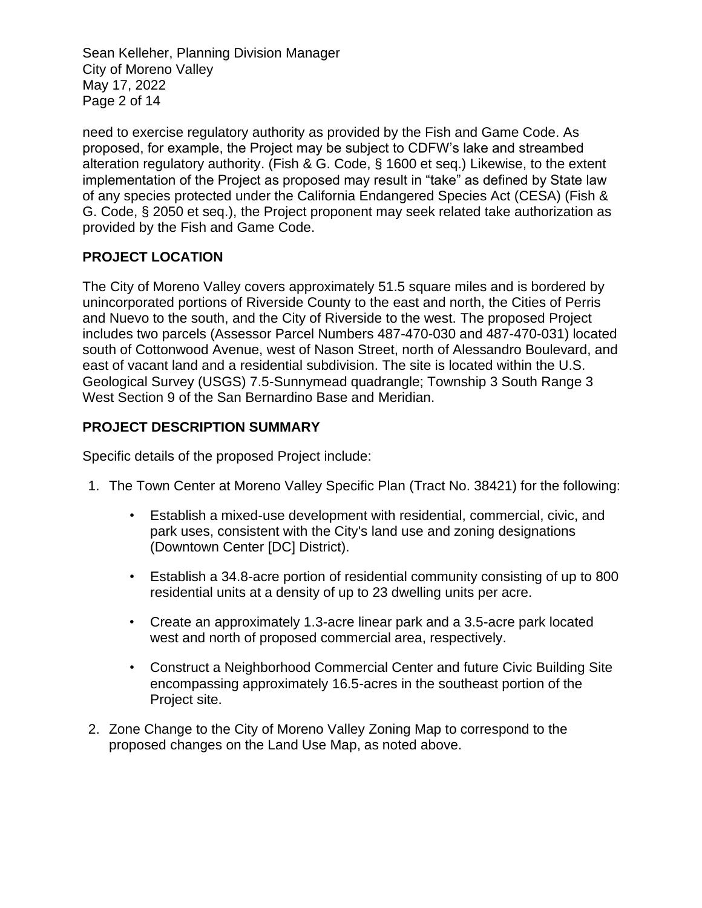Sean Kelleher, Planning Division Manager City of Moreno Valley May 17, 2022 Page 2 of 14

need to exercise regulatory authority as provided by the Fish and Game Code. As proposed, for example, the Project may be subject to CDFW's lake and streambed alteration regulatory authority. (Fish & G. Code, § 1600 et seq.) Likewise, to the extent implementation of the Project as proposed may result in "take" as defined by State law of any species protected under the California Endangered Species Act (CESA) (Fish & G. Code, § 2050 et seq.), the Project proponent may seek related take authorization as provided by the Fish and Game Code.

## **PROJECT LOCATION**

The City of Moreno Valley covers approximately 51.5 square miles and is bordered by unincorporated portions of Riverside County to the east and north, the Cities of Perris and Nuevo to the south, and the City of Riverside to the west. The proposed Project includes two parcels (Assessor Parcel Numbers 487-470-030 and 487-470-031) located south of Cottonwood Avenue, west of Nason Street, north of Alessandro Boulevard, and east of vacant land and a residential subdivision. The site is located within the U.S. Geological Survey (USGS) 7.5-Sunnymead quadrangle; Township 3 South Range 3 West Section 9 of the San Bernardino Base and Meridian.

## **PROJECT DESCRIPTION SUMMARY**

Specific details of the proposed Project include:

- 1. The Town Center at Moreno Valley Specific Plan (Tract No. 38421) for the following:
	- Establish a mixed-use development with residential, commercial, civic, and park uses, consistent with the City's land use and zoning designations (Downtown Center [DC] District).
	- Establish a 34.8-acre portion of residential community consisting of up to 800 residential units at a density of up to 23 dwelling units per acre.
	- Create an approximately 1.3-acre linear park and a 3.5-acre park located west and north of proposed commercial area, respectively.
	- Construct a Neighborhood Commercial Center and future Civic Building Site encompassing approximately 16.5-acres in the southeast portion of the Project site.
- 2. Zone Change to the City of Moreno Valley Zoning Map to correspond to the proposed changes on the Land Use Map, as noted above.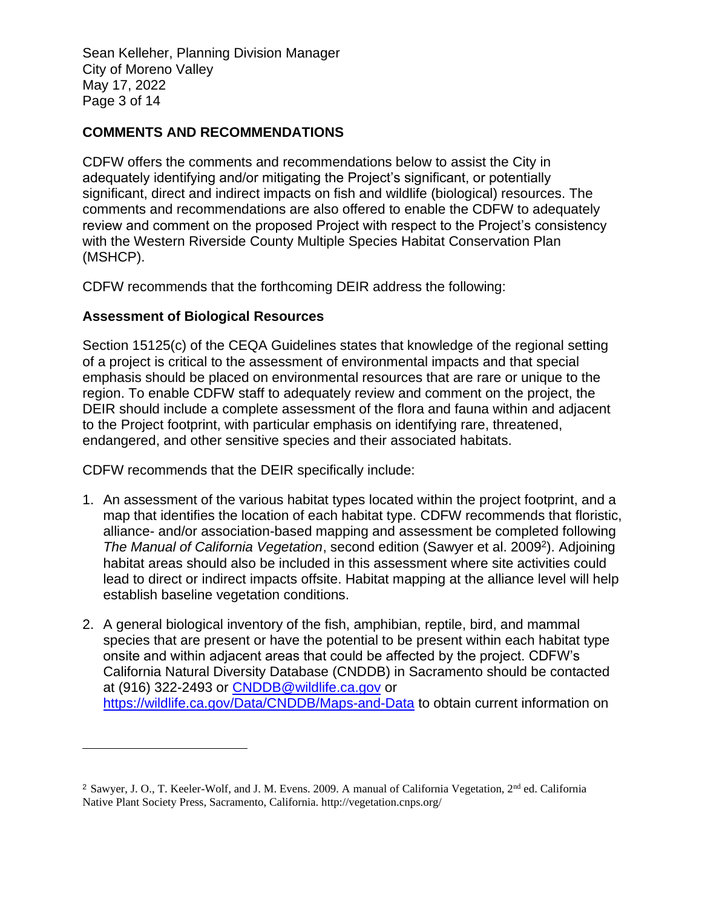Sean Kelleher, Planning Division Manager City of Moreno Valley May 17, 2022 Page 3 of 14

## **COMMENTS AND RECOMMENDATIONS**

CDFW offers the comments and recommendations below to assist the City in adequately identifying and/or mitigating the Project's significant, or potentially significant, direct and indirect impacts on fish and wildlife (biological) resources. The comments and recommendations are also offered to enable the CDFW to adequately review and comment on the proposed Project with respect to the Project's consistency with the Western Riverside County Multiple Species Habitat Conservation Plan (MSHCP).

CDFW recommends that the forthcoming DEIR address the following:

### **Assessment of Biological Resources**

Section 15125(c) of the CEQA Guidelines states that knowledge of the regional setting of a project is critical to the assessment of environmental impacts and that special emphasis should be placed on environmental resources that are rare or unique to the region. To enable CDFW staff to adequately review and comment on the project, the DEIR should include a complete assessment of the flora and fauna within and adjacent to the Project footprint, with particular emphasis on identifying rare, threatened, endangered, and other sensitive species and their associated habitats.

CDFW recommends that the DEIR specifically include:

- 1. An assessment of the various habitat types located within the project footprint, and a map that identifies the location of each habitat type. CDFW recommends that floristic, alliance- and/or association-based mapping and assessment be completed following The Manual of California Vegetation, second edition (Sawyer et al. 2009<sup>2</sup>). Adjoining habitat areas should also be included in this assessment where site activities could lead to direct or indirect impacts offsite. Habitat mapping at the alliance level will help establish baseline vegetation conditions.
- 2. A general biological inventory of the fish, amphibian, reptile, bird, and mammal species that are present or have the potential to be present within each habitat type onsite and within adjacent areas that could be affected by the project. CDFW's California Natural Diversity Database (CNDDB) in Sacramento should be contacted at (916) 322-2493 or [CNDDB@wildlife.ca.gov](mailto:CNDDB@wildlife.ca.gov) or <https://wildlife.ca.gov/Data/CNDDB/Maps-and-Data> to obtain current information on

<sup>&</sup>lt;sup>2</sup> Sawyer, J. O., T. Keeler-Wolf, and J. M. Evens. 2009. A manual of California Vegetation, 2<sup>nd</sup> ed. California Native Plant Society Press, Sacramento, California. http://vegetation.cnps.org/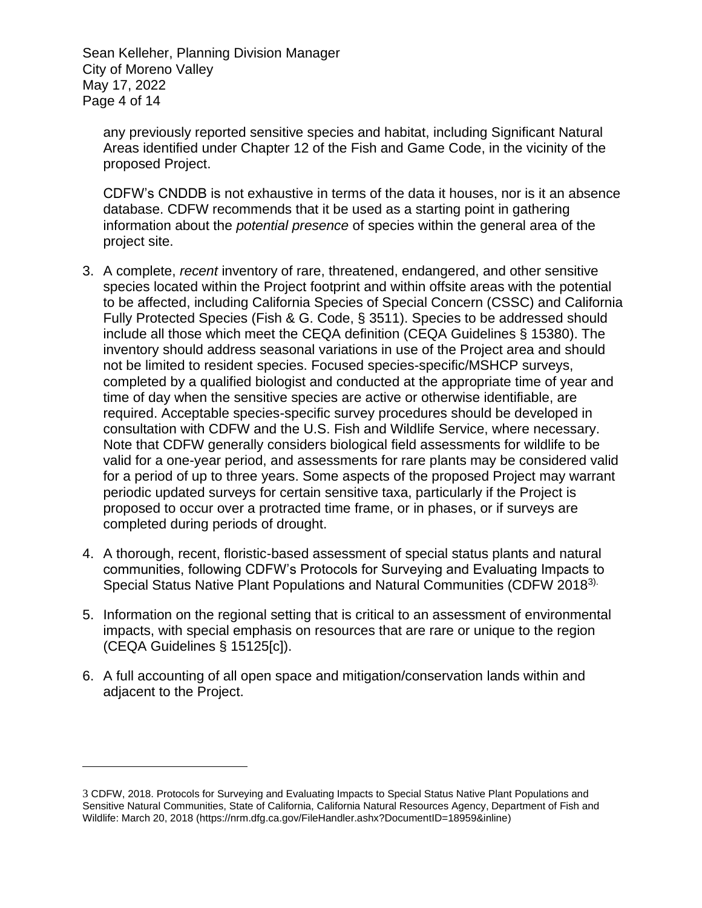Sean Kelleher, Planning Division Manager City of Moreno Valley May 17, 2022 Page 4 of 14

any previously reported sensitive species and habitat, including Significant Natural Areas identified under Chapter 12 of the Fish and Game Code, in the vicinity of the proposed Project.

CDFW's CNDDB is not exhaustive in terms of the data it houses, nor is it an absence database. CDFW recommends that it be used as a starting point in gathering information about the *potential presence* of species within the general area of the project site.

- 3. A complete, *recent* inventory of rare, threatened, endangered, and other sensitive species located within the Project footprint and within offsite areas with the potential to be affected, including California Species of Special Concern (CSSC) and California Fully Protected Species (Fish & G. Code, § 3511). Species to be addressed should include all those which meet the CEQA definition (CEQA Guidelines § 15380). The inventory should address seasonal variations in use of the Project area and should not be limited to resident species. Focused species-specific/MSHCP surveys, completed by a qualified biologist and conducted at the appropriate time of year and time of day when the sensitive species are active or otherwise identifiable, are required. Acceptable species-specific survey procedures should be developed in consultation with CDFW and the U.S. Fish and Wildlife Service, where necessary. Note that CDFW generally considers biological field assessments for wildlife to be valid for a one-year period, and assessments for rare plants may be considered valid for a period of up to three years. Some aspects of the proposed Project may warrant periodic updated surveys for certain sensitive taxa, particularly if the Project is proposed to occur over a protracted time frame, or in phases, or if surveys are completed during periods of drought.
- 4. A thorough, recent, floristic-based assessment of special status plants and natural communities, following CDFW's Protocols for Surveying and Evaluating Impacts to Special Status Native Plant Populations and Natural Communities (CDFW 20183).
- 5. Information on the regional setting that is critical to an assessment of environmental impacts, with special emphasis on resources that are rare or unique to the region (CEQA Guidelines § 15125[c]).
- 6. A full accounting of all open space and mitigation/conservation lands within and adjacent to the Project.

<sup>3</sup> CDFW, 2018. Protocols for Surveying and Evaluating Impacts to Special Status Native Plant Populations and Sensitive Natural Communities, State of California, California Natural Resources Agency, Department of Fish and Wildlife: March 20, 2018 (https://nrm.dfg.ca.gov/FileHandler.ashx?DocumentID=18959&inline)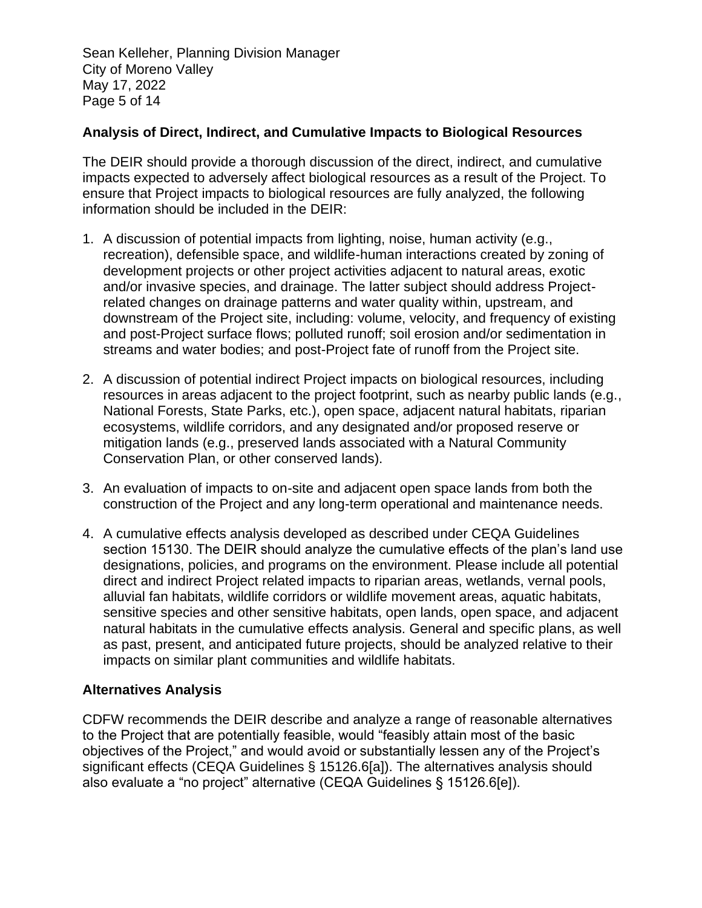Sean Kelleher, Planning Division Manager City of Moreno Valley May 17, 2022 Page 5 of 14

## **Analysis of Direct, Indirect, and Cumulative Impacts to Biological Resources**

The DEIR should provide a thorough discussion of the direct, indirect, and cumulative impacts expected to adversely affect biological resources as a result of the Project. To ensure that Project impacts to biological resources are fully analyzed, the following information should be included in the DEIR:

- 1. A discussion of potential impacts from lighting, noise, human activity (e.g., recreation), defensible space, and wildlife-human interactions created by zoning of development projects or other project activities adjacent to natural areas, exotic and/or invasive species, and drainage. The latter subject should address Projectrelated changes on drainage patterns and water quality within, upstream, and downstream of the Project site, including: volume, velocity, and frequency of existing and post-Project surface flows; polluted runoff; soil erosion and/or sedimentation in streams and water bodies; and post-Project fate of runoff from the Project site.
- 2. A discussion of potential indirect Project impacts on biological resources, including resources in areas adjacent to the project footprint, such as nearby public lands (e.g., National Forests, State Parks, etc.), open space, adjacent natural habitats, riparian ecosystems, wildlife corridors, and any designated and/or proposed reserve or mitigation lands (e.g., preserved lands associated with a Natural Community Conservation Plan, or other conserved lands).
- 3. An evaluation of impacts to on-site and adjacent open space lands from both the construction of the Project and any long-term operational and maintenance needs.
- 4. A cumulative effects analysis developed as described under CEQA Guidelines section 15130. The DEIR should analyze the cumulative effects of the plan's land use designations, policies, and programs on the environment. Please include all potential direct and indirect Project related impacts to riparian areas, wetlands, vernal pools, alluvial fan habitats, wildlife corridors or wildlife movement areas, aquatic habitats, sensitive species and other sensitive habitats, open lands, open space, and adjacent natural habitats in the cumulative effects analysis. General and specific plans, as well as past, present, and anticipated future projects, should be analyzed relative to their impacts on similar plant communities and wildlife habitats.

## **Alternatives Analysis**

CDFW recommends the DEIR describe and analyze a range of reasonable alternatives to the Project that are potentially feasible, would "feasibly attain most of the basic objectives of the Project," and would avoid or substantially lessen any of the Project's significant effects (CEQA Guidelines § 15126.6[a]). The alternatives analysis should also evaluate a "no project" alternative (CEQA Guidelines § 15126.6[e]).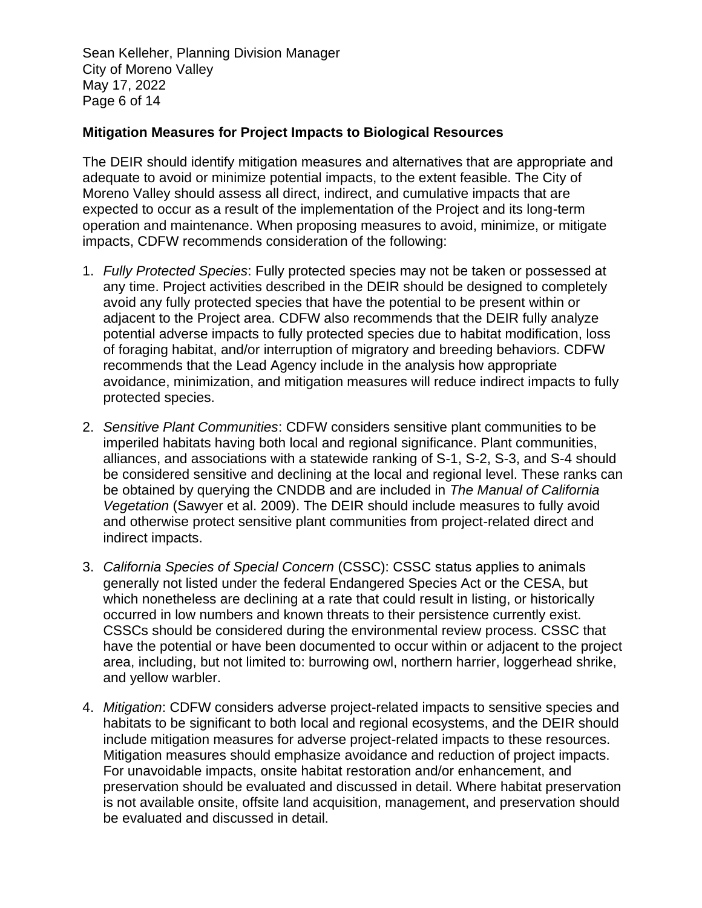Sean Kelleher, Planning Division Manager City of Moreno Valley May 17, 2022 Page 6 of 14

#### **Mitigation Measures for Project Impacts to Biological Resources**

The DEIR should identify mitigation measures and alternatives that are appropriate and adequate to avoid or minimize potential impacts, to the extent feasible. The City of Moreno Valley should assess all direct, indirect, and cumulative impacts that are expected to occur as a result of the implementation of the Project and its long-term operation and maintenance. When proposing measures to avoid, minimize, or mitigate impacts, CDFW recommends consideration of the following:

- 1. *Fully Protected Species*: Fully protected species may not be taken or possessed at any time. Project activities described in the DEIR should be designed to completely avoid any fully protected species that have the potential to be present within or adjacent to the Project area. CDFW also recommends that the DEIR fully analyze potential adverse impacts to fully protected species due to habitat modification, loss of foraging habitat, and/or interruption of migratory and breeding behaviors. CDFW recommends that the Lead Agency include in the analysis how appropriate avoidance, minimization, and mitigation measures will reduce indirect impacts to fully protected species.
- 2. *Sensitive Plant Communities*: CDFW considers sensitive plant communities to be imperiled habitats having both local and regional significance. Plant communities, alliances, and associations with a statewide ranking of S-1, S-2, S-3, and S-4 should be considered sensitive and declining at the local and regional level. These ranks can be obtained by querying the CNDDB and are included in *The Manual of California Vegetation* (Sawyer et al. 2009). The DEIR should include measures to fully avoid and otherwise protect sensitive plant communities from project-related direct and indirect impacts.
- 3. *California Species of Special Concern* (CSSC): CSSC status applies to animals generally not listed under the federal Endangered Species Act or the CESA, but which nonetheless are declining at a rate that could result in listing, or historically occurred in low numbers and known threats to their persistence currently exist. CSSCs should be considered during the environmental review process. CSSC that have the potential or have been documented to occur within or adjacent to the project area, including, but not limited to: burrowing owl, northern harrier, loggerhead shrike, and yellow warbler.
- 4. *Mitigation*: CDFW considers adverse project-related impacts to sensitive species and habitats to be significant to both local and regional ecosystems, and the DEIR should include mitigation measures for adverse project-related impacts to these resources. Mitigation measures should emphasize avoidance and reduction of project impacts. For unavoidable impacts, onsite habitat restoration and/or enhancement, and preservation should be evaluated and discussed in detail. Where habitat preservation is not available onsite, offsite land acquisition, management, and preservation should be evaluated and discussed in detail.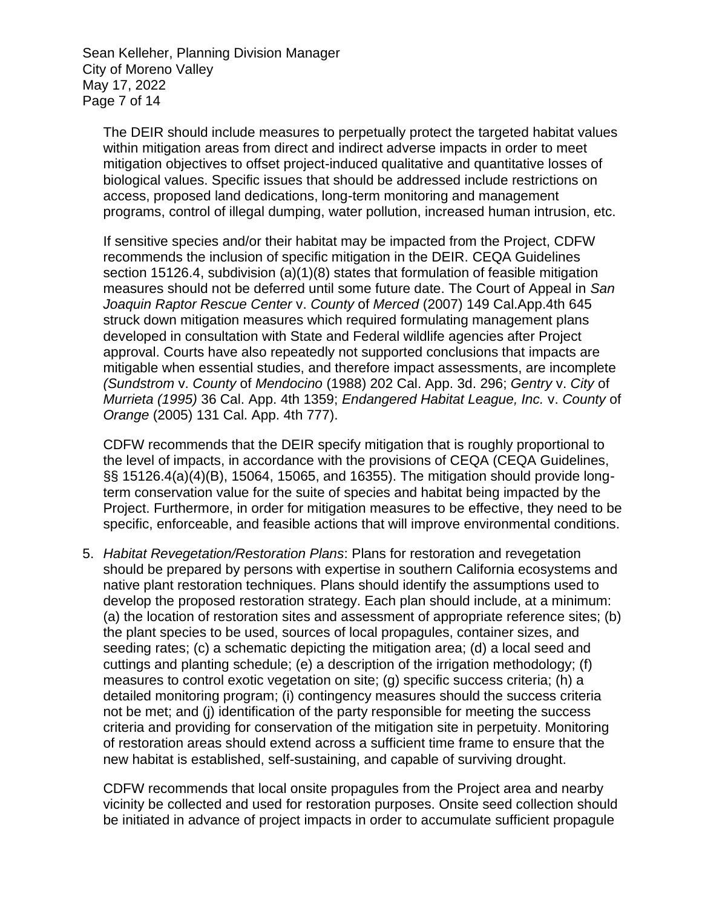Sean Kelleher, Planning Division Manager City of Moreno Valley May 17, 2022 Page 7 of 14

The DEIR should include measures to perpetually protect the targeted habitat values within mitigation areas from direct and indirect adverse impacts in order to meet mitigation objectives to offset project-induced qualitative and quantitative losses of biological values. Specific issues that should be addressed include restrictions on access, proposed land dedications, long-term monitoring and management programs, control of illegal dumping, water pollution, increased human intrusion, etc.

If sensitive species and/or their habitat may be impacted from the Project, CDFW recommends the inclusion of specific mitigation in the DEIR. CEQA Guidelines section 15126.4, subdivision (a)(1)(8) states that formulation of feasible mitigation measures should not be deferred until some future date. The Court of Appeal in *San Joaquin Raptor Rescue Center* v. *County* of *Merced* (2007) 149 Cal.App.4th 645 struck down mitigation measures which required formulating management plans developed in consultation with State and Federal wildlife agencies after Project approval. Courts have also repeatedly not supported conclusions that impacts are mitigable when essential studies, and therefore impact assessments, are incomplete *(Sundstrom* v. *County* of *Mendocino* (1988) 202 Cal. App. 3d. 296; *Gentry* v. *City* of *Murrieta (1995)* 36 Cal. App. 4th 1359; *Endangered Habitat League, Inc.* v. *County* of *Orange* (2005) 131 Cal. App. 4th 777).

CDFW recommends that the DEIR specify mitigation that is roughly proportional to the level of impacts, in accordance with the provisions of CEQA (CEQA Guidelines, §§ 15126.4(a)(4)(B), 15064, 15065, and 16355). The mitigation should provide longterm conservation value for the suite of species and habitat being impacted by the Project. Furthermore, in order for mitigation measures to be effective, they need to be specific, enforceable, and feasible actions that will improve environmental conditions.

5. *Habitat Revegetation/Restoration Plans*: Plans for restoration and revegetation should be prepared by persons with expertise in southern California ecosystems and native plant restoration techniques. Plans should identify the assumptions used to develop the proposed restoration strategy. Each plan should include, at a minimum: (a) the location of restoration sites and assessment of appropriate reference sites; (b) the plant species to be used, sources of local propagules, container sizes, and seeding rates; (c) a schematic depicting the mitigation area; (d) a local seed and cuttings and planting schedule; (e) a description of the irrigation methodology; (f) measures to control exotic vegetation on site; (g) specific success criteria; (h) a detailed monitoring program; (i) contingency measures should the success criteria not be met; and (j) identification of the party responsible for meeting the success criteria and providing for conservation of the mitigation site in perpetuity. Monitoring of restoration areas should extend across a sufficient time frame to ensure that the new habitat is established, self-sustaining, and capable of surviving drought.

CDFW recommends that local onsite propagules from the Project area and nearby vicinity be collected and used for restoration purposes. Onsite seed collection should be initiated in advance of project impacts in order to accumulate sufficient propagule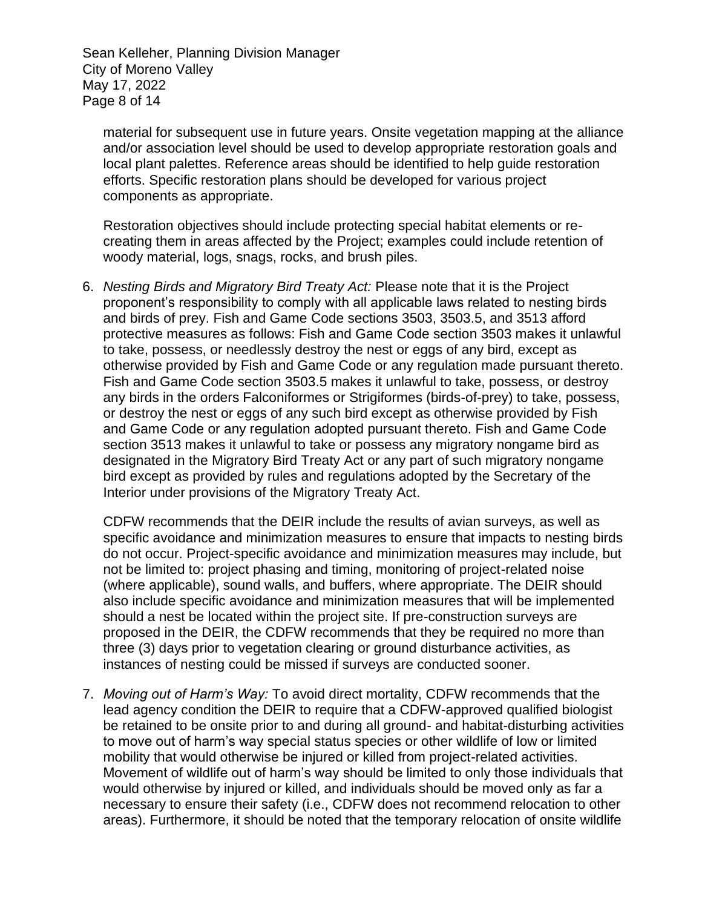Sean Kelleher, Planning Division Manager City of Moreno Valley May 17, 2022 Page 8 of 14

material for subsequent use in future years. Onsite vegetation mapping at the alliance and/or association level should be used to develop appropriate restoration goals and local plant palettes. Reference areas should be identified to help guide restoration efforts. Specific restoration plans should be developed for various project components as appropriate.

Restoration objectives should include protecting special habitat elements or recreating them in areas affected by the Project; examples could include retention of woody material, logs, snags, rocks, and brush piles.

6. *Nesting Birds and Migratory Bird Treaty Act:* Please note that it is the Project proponent's responsibility to comply with all applicable laws related to nesting birds and birds of prey. Fish and Game Code sections 3503, 3503.5, and 3513 afford protective measures as follows: Fish and Game Code section 3503 makes it unlawful to take, possess, or needlessly destroy the nest or eggs of any bird, except as otherwise provided by Fish and Game Code or any regulation made pursuant thereto. Fish and Game Code section 3503.5 makes it unlawful to take, possess, or destroy any birds in the orders Falconiformes or Strigiformes (birds-of-prey) to take, possess, or destroy the nest or eggs of any such bird except as otherwise provided by Fish and Game Code or any regulation adopted pursuant thereto. Fish and Game Code section 3513 makes it unlawful to take or possess any migratory nongame bird as designated in the Migratory Bird Treaty Act or any part of such migratory nongame bird except as provided by rules and regulations adopted by the Secretary of the Interior under provisions of the Migratory Treaty Act.

CDFW recommends that the DEIR include the results of avian surveys, as well as specific avoidance and minimization measures to ensure that impacts to nesting birds do not occur. Project-specific avoidance and minimization measures may include, but not be limited to: project phasing and timing, monitoring of project-related noise (where applicable), sound walls, and buffers, where appropriate. The DEIR should also include specific avoidance and minimization measures that will be implemented should a nest be located within the project site. If pre-construction surveys are proposed in the DEIR, the CDFW recommends that they be required no more than three (3) days prior to vegetation clearing or ground disturbance activities, as instances of nesting could be missed if surveys are conducted sooner.

7. *Moving out of Harm's Way:* To avoid direct mortality, CDFW recommends that the lead agency condition the DEIR to require that a CDFW-approved qualified biologist be retained to be onsite prior to and during all ground- and habitat-disturbing activities to move out of harm's way special status species or other wildlife of low or limited mobility that would otherwise be injured or killed from project-related activities. Movement of wildlife out of harm's way should be limited to only those individuals that would otherwise by injured or killed, and individuals should be moved only as far a necessary to ensure their safety (i.e., CDFW does not recommend relocation to other areas). Furthermore, it should be noted that the temporary relocation of onsite wildlife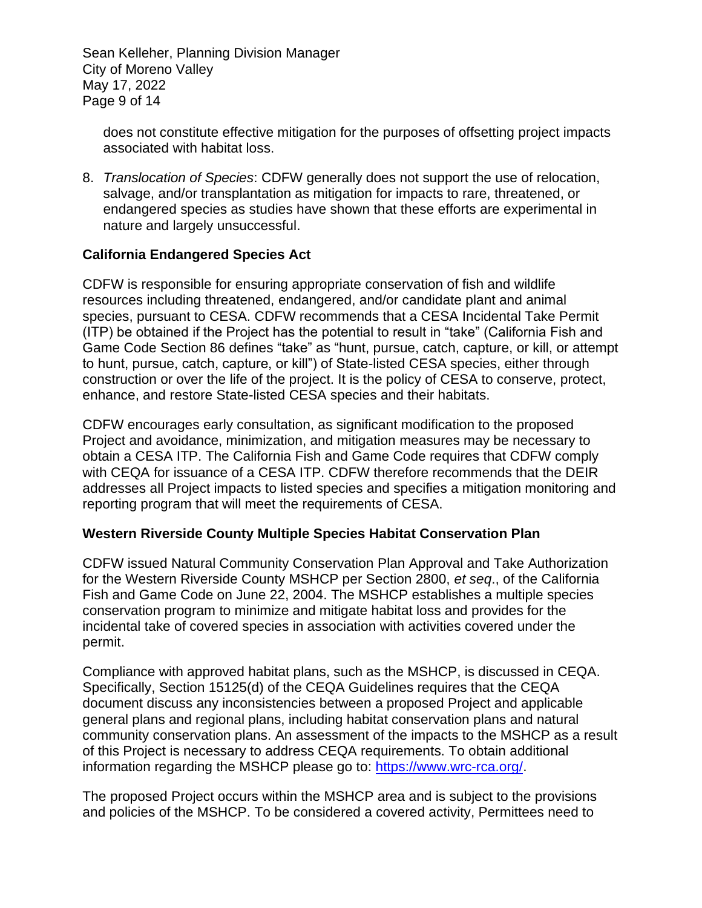Sean Kelleher, Planning Division Manager City of Moreno Valley May 17, 2022 Page 9 of 14

does not constitute effective mitigation for the purposes of offsetting project impacts associated with habitat loss.

8. *Translocation of Species*: CDFW generally does not support the use of relocation, salvage, and/or transplantation as mitigation for impacts to rare, threatened, or endangered species as studies have shown that these efforts are experimental in nature and largely unsuccessful.

## **California Endangered Species Act**

CDFW is responsible for ensuring appropriate conservation of fish and wildlife resources including threatened, endangered, and/or candidate plant and animal species, pursuant to CESA. CDFW recommends that a CESA Incidental Take Permit (ITP) be obtained if the Project has the potential to result in "take" (California Fish and Game Code Section 86 defines "take" as "hunt, pursue, catch, capture, or kill, or attempt to hunt, pursue, catch, capture, or kill") of State-listed CESA species, either through construction or over the life of the project. It is the policy of CESA to conserve, protect, enhance, and restore State-listed CESA species and their habitats.

CDFW encourages early consultation, as significant modification to the proposed Project and avoidance, minimization, and mitigation measures may be necessary to obtain a CESA ITP. The California Fish and Game Code requires that CDFW comply with CEQA for issuance of a CESA ITP. CDFW therefore recommends that the DEIR addresses all Project impacts to listed species and specifies a mitigation monitoring and reporting program that will meet the requirements of CESA.

#### **Western Riverside County Multiple Species Habitat Conservation Plan**

CDFW issued Natural Community Conservation Plan Approval and Take Authorization for the Western Riverside County MSHCP per Section 2800, *et seq*., of the California Fish and Game Code on June 22, 2004. The MSHCP establishes a multiple species conservation program to minimize and mitigate habitat loss and provides for the incidental take of covered species in association with activities covered under the permit.

Compliance with approved habitat plans, such as the MSHCP, is discussed in CEQA. Specifically, Section 15125(d) of the CEQA Guidelines requires that the CEQA document discuss any inconsistencies between a proposed Project and applicable general plans and regional plans, including habitat conservation plans and natural community conservation plans. An assessment of the impacts to the MSHCP as a result of this Project is necessary to address CEQA requirements. To obtain additional information regarding the MSHCP please go to: [https://www.wrc-rca.org/.](https://www.wrc-rca.org/)

The proposed Project occurs within the MSHCP area and is subject to the provisions and policies of the MSHCP. To be considered a covered activity, Permittees need to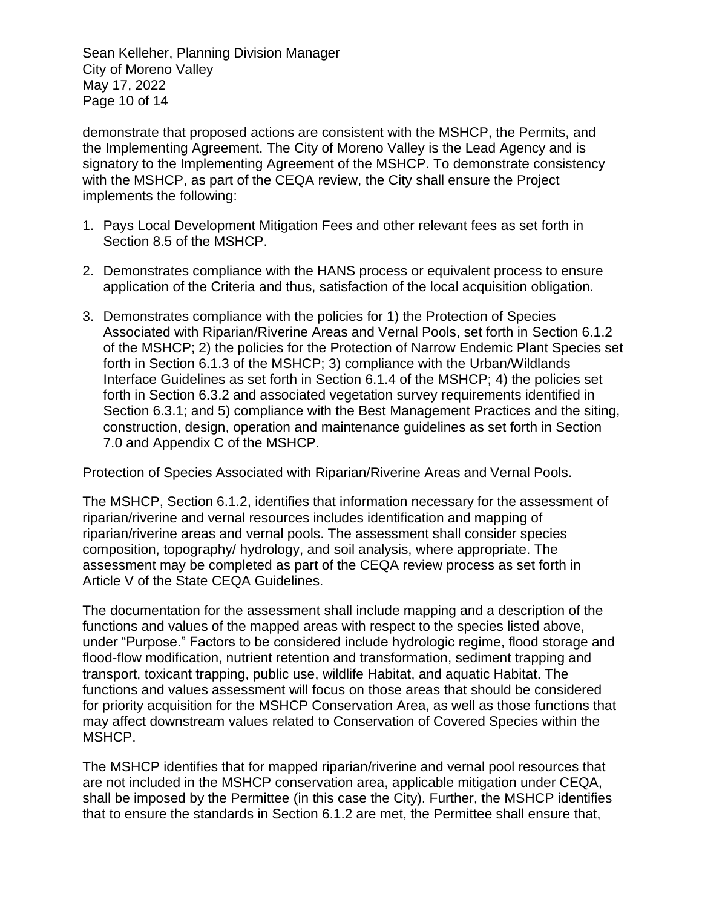Sean Kelleher, Planning Division Manager City of Moreno Valley May 17, 2022 Page 10 of 14

demonstrate that proposed actions are consistent with the MSHCP, the Permits, and the Implementing Agreement. The City of Moreno Valley is the Lead Agency and is signatory to the Implementing Agreement of the MSHCP. To demonstrate consistency with the MSHCP, as part of the CEQA review, the City shall ensure the Project implements the following:

- 1. Pays Local Development Mitigation Fees and other relevant fees as set forth in Section 8.5 of the MSHCP.
- 2. Demonstrates compliance with the HANS process or equivalent process to ensure application of the Criteria and thus, satisfaction of the local acquisition obligation.
- 3. Demonstrates compliance with the policies for 1) the Protection of Species Associated with Riparian/Riverine Areas and Vernal Pools, set forth in Section 6.1.2 of the MSHCP; 2) the policies for the Protection of Narrow Endemic Plant Species set forth in Section 6.1.3 of the MSHCP; 3) compliance with the Urban/Wildlands Interface Guidelines as set forth in Section 6.1.4 of the MSHCP; 4) the policies set forth in Section 6.3.2 and associated vegetation survey requirements identified in Section 6.3.1; and 5) compliance with the Best Management Practices and the siting, construction, design, operation and maintenance guidelines as set forth in Section 7.0 and Appendix C of the MSHCP.

#### Protection of Species Associated with Riparian/Riverine Areas and Vernal Pools.

The MSHCP, Section 6.1.2, identifies that information necessary for the assessment of riparian/riverine and vernal resources includes identification and mapping of riparian/riverine areas and vernal pools. The assessment shall consider species composition, topography/ hydrology, and soil analysis, where appropriate. The assessment may be completed as part of the CEQA review process as set forth in Article V of the State CEQA Guidelines.

The documentation for the assessment shall include mapping and a description of the functions and values of the mapped areas with respect to the species listed above, under "Purpose." Factors to be considered include hydrologic regime, flood storage and flood-flow modification, nutrient retention and transformation, sediment trapping and transport, toxicant trapping, public use, wildlife Habitat, and aquatic Habitat. The functions and values assessment will focus on those areas that should be considered for priority acquisition for the MSHCP Conservation Area, as well as those functions that may affect downstream values related to Conservation of Covered Species within the MSHCP.

The MSHCP identifies that for mapped riparian/riverine and vernal pool resources that are not included in the MSHCP conservation area, applicable mitigation under CEQA, shall be imposed by the Permittee (in this case the City). Further, the MSHCP identifies that to ensure the standards in Section 6.1.2 are met, the Permittee shall ensure that,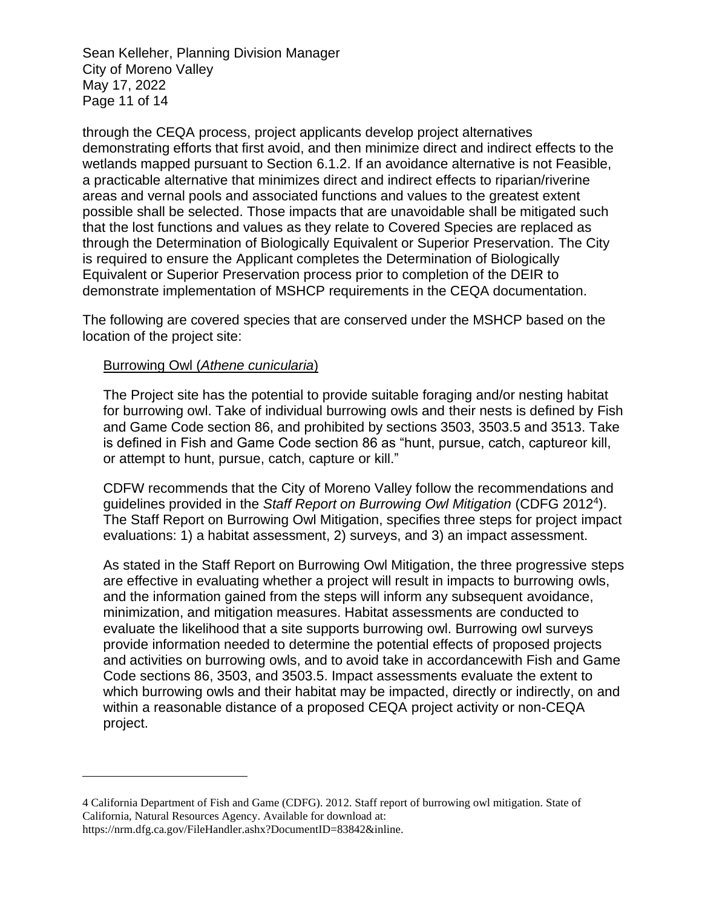Sean Kelleher, Planning Division Manager City of Moreno Valley May 17, 2022 Page 11 of 14

through the CEQA process, project applicants develop project alternatives demonstrating efforts that first avoid, and then minimize direct and indirect effects to the wetlands mapped pursuant to Section 6.1.2. If an avoidance alternative is not Feasible, a practicable alternative that minimizes direct and indirect effects to riparian/riverine areas and vernal pools and associated functions and values to the greatest extent possible shall be selected. Those impacts that are unavoidable shall be mitigated such that the lost functions and values as they relate to Covered Species are replaced as through the Determination of Biologically Equivalent or Superior Preservation. The City is required to ensure the Applicant completes the Determination of Biologically Equivalent or Superior Preservation process prior to completion of the DEIR to demonstrate implementation of MSHCP requirements in the CEQA documentation.

The following are covered species that are conserved under the MSHCP based on the location of the project site:

#### Burrowing Owl (*Athene cunicularia*)

The Project site has the potential to provide suitable foraging and/or nesting habitat for burrowing owl. Take of individual burrowing owls and their nests is defined by Fish and Game Code section 86, and prohibited by sections 3503, 3503.5 and 3513. Take is defined in Fish and Game Code section 86 as "hunt, pursue, catch, captureor kill, or attempt to hunt, pursue, catch, capture or kill."

CDFW recommends that the City of Moreno Valley follow the recommendations and guidelines provided in the *Staff Report on Burrowing Owl Mitigation* (CDFG 2012<sup>4</sup> ). The Staff Report on Burrowing Owl Mitigation, specifies three steps for project impact evaluations: 1) a habitat assessment, 2) surveys, and 3) an impact assessment.

As stated in the Staff Report on Burrowing Owl Mitigation, the three progressive steps are effective in evaluating whether a project will result in impacts to burrowing owls, and the information gained from the steps will inform any subsequent avoidance, minimization, and mitigation measures. Habitat assessments are conducted to evaluate the likelihood that a site supports burrowing owl. Burrowing owl surveys provide information needed to determine the potential effects of proposed projects and activities on burrowing owls, and to avoid take in accordancewith Fish and Game Code sections 86, 3503, and 3503.5. Impact assessments evaluate the extent to which burrowing owls and their habitat may be impacted, directly or indirectly, on and within a reasonable distance of a proposed CEQA project activity or non-CEQA project.

<sup>4</sup> California Department of Fish and Game (CDFG). 2012. Staff report of burrowing owl mitigation. State of California, Natural Resources Agency. Available for download at: https://nrm.dfg.ca.gov/FileHandler.ashx?DocumentID=83842&inline.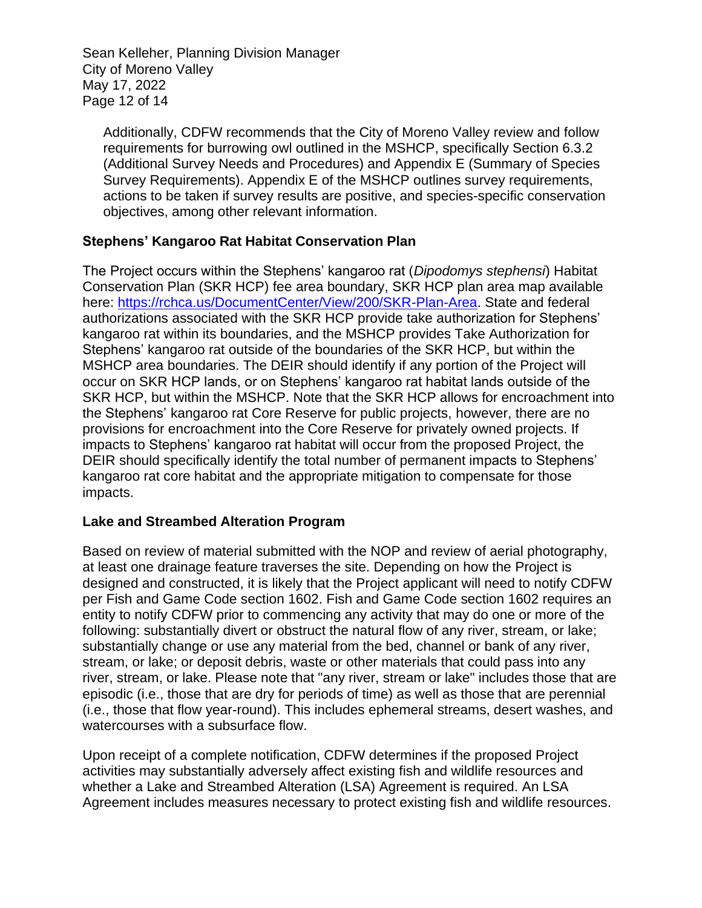Sean Kelleher, Planning Division Manager City of Moreno Valley May 17, 2022 Page 12 of 14

Additionally, CDFW recommends that the City of Moreno Valley review and follow requirements for burrowing owl outlined in the MSHCP, specifically Section 6.3.2 (Additional Survey Needs and Procedures) and Appendix E (Summary of Species Survey Requirements). Appendix E of the MSHCP outlines survey requirements, actions to be taken if survey results are positive, and species-specific conservation objectives, among other relevant information.

### **Stephens' Kangaroo Rat Habitat Conservation Plan**

The Project occurs within the Stephens' kangaroo rat (*Dipodomys stephensi*) Habitat Conservation Plan (SKR HCP) fee area boundary, SKR HCP plan area map available here: [https://rchca.us/DocumentCenter/View/200/SKR-Plan-Area.](https://rchca.us/DocumentCenter/View/200/SKR-Plan-Area) State and federal authorizations associated with the SKR HCP provide take authorization for Stephens' kangaroo rat within its boundaries, and the MSHCP provides Take Authorization for Stephens' kangaroo rat outside of the boundaries of the SKR HCP, but within the MSHCP area boundaries. The DEIR should identify if any portion of the Project will occur on SKR HCP lands, or on Stephens' kangaroo rat habitat lands outside of the SKR HCP, but within the MSHCP. Note that the SKR HCP allows for encroachment into the Stephens' kangaroo rat Core Reserve for public projects, however, there are no provisions for encroachment into the Core Reserve for privately owned projects. If impacts to Stephens' kangaroo rat habitat will occur from the proposed Project, the DEIR should specifically identify the total number of permanent impacts to Stephens' kangaroo rat core habitat and the appropriate mitigation to compensate for those impacts.

#### **Lake and Streambed Alteration Program**

Based on review of material submitted with the NOP and review of aerial photography, at least one drainage feature traverses the site. Depending on how the Project is designed and constructed, it is likely that the Project applicant will need to notify CDFW per Fish and Game Code section 1602. Fish and Game Code section 1602 requires an entity to notify CDFW prior to commencing any activity that may do one or more of the following: substantially divert or obstruct the natural flow of any river, stream, or lake; substantially change or use any material from the bed, channel or bank of any river, stream, or lake; or deposit debris, waste or other materials that could pass into any river, stream, or lake. Please note that "any river, stream or lake" includes those that are episodic (i.e., those that are dry for periods of time) as well as those that are perennial (i.e., those that flow year-round). This includes ephemeral streams, desert washes, and watercourses with a subsurface flow.

Upon receipt of a complete notification, CDFW determines if the proposed Project activities may substantially adversely affect existing fish and wildlife resources and whether a Lake and Streambed Alteration (LSA) Agreement is required. An LSA Agreement includes measures necessary to protect existing fish and wildlife resources.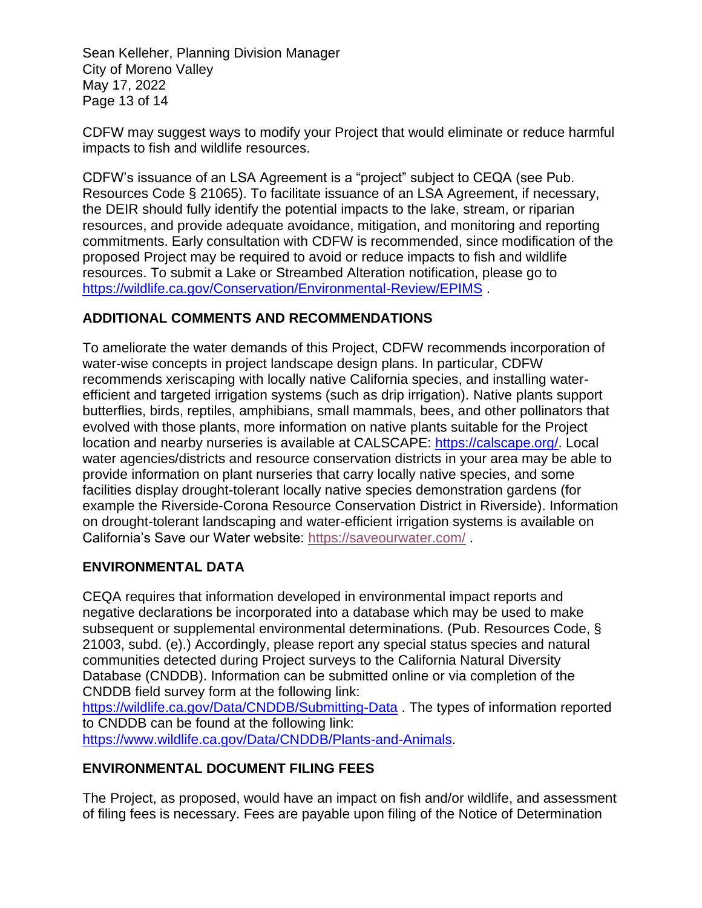Sean Kelleher, Planning Division Manager City of Moreno Valley May 17, 2022 Page 13 of 14

CDFW may suggest ways to modify your Project that would eliminate or reduce harmful impacts to fish and wildlife resources.

CDFW's issuance of an LSA Agreement is a "project" subject to CEQA (see Pub. Resources Code § 21065). To facilitate issuance of an LSA Agreement, if necessary, the DEIR should fully identify the potential impacts to the lake, stream, or riparian resources, and provide adequate avoidance, mitigation, and monitoring and reporting commitments. Early consultation with CDFW is recommended, since modification of the proposed Project may be required to avoid or reduce impacts to fish and wildlife resources. To submit a Lake or Streambed Alteration notification, please go to <https://wildlife.ca.gov/Conservation/Environmental-Review/EPIMS> .

## **ADDITIONAL COMMENTS AND RECOMMENDATIONS**

To ameliorate the water demands of this Project, CDFW recommends incorporation of water-wise concepts in project landscape design plans. In particular, CDFW recommends xeriscaping with locally native California species, and installing waterefficient and targeted irrigation systems (such as drip irrigation). Native plants support butterflies, birds, reptiles, amphibians, small mammals, bees, and other pollinators that evolved with those plants, more information on native plants suitable for the Project location and nearby nurseries is available at CALSCAPE: [https://calscape.org/.](https://calscape.org/) Local water agencies/districts and resource conservation districts in your area may be able to provide information on plant nurseries that carry locally native species, and some facilities display drought-tolerant locally native species demonstration gardens (for example the Riverside-Corona Resource Conservation District in Riverside). Information on drought-tolerant landscaping and water-efficient irrigation systems is available on California's Save our Water website:<https://saveourwater.com/> .

# **ENVIRONMENTAL DATA**

CEQA requires that information developed in environmental impact reports and negative declarations be incorporated into a database which may be used to make subsequent or supplemental environmental determinations. (Pub. Resources Code, § 21003, subd. (e).) Accordingly, please report any special status species and natural communities detected during Project surveys to the California Natural Diversity Database (CNDDB). Information can be submitted online or via completion of the CNDDB field survey form at the following link:

<https://wildlife.ca.gov/Data/CNDDB/Submitting-Data> . The types of information reported to CNDDB can be found at the following link: [https://www.wildlife.ca.gov/Data/CNDDB/Plants-and-Animals.](https://www.wildlife.ca.gov/Data/CNDDB/Plants-and-Animals)

# **ENVIRONMENTAL DOCUMENT FILING FEES**

The Project, as proposed, would have an impact on fish and/or wildlife, and assessment of filing fees is necessary. Fees are payable upon filing of the Notice of Determination